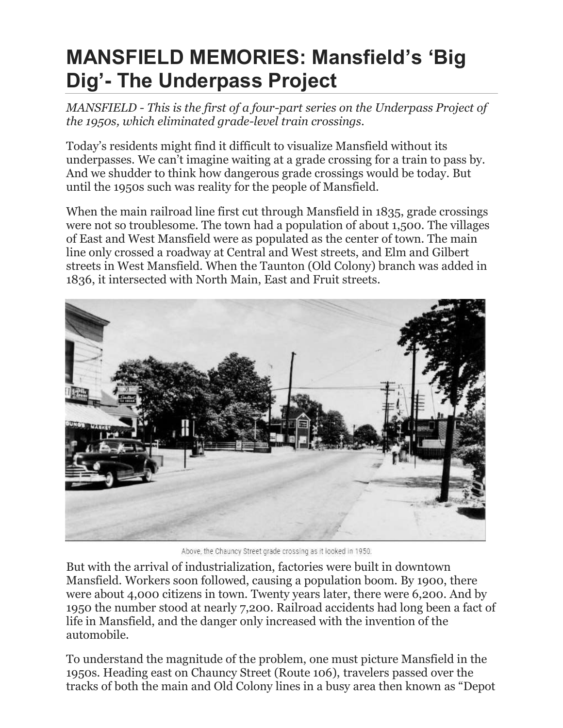## **MANSFIELD MEMORIES: Mansfield's 'Big Dig'- The Underpass Project**

*MANSFIELD - This is the first of a four-part series on the Underpass Project of the 1950s, which eliminated grade-level train crossings.*

Today's residents might find it difficult to visualize Mansfield without its underpasses. We can't imagine waiting at a grade crossing for a train to pass by. And we shudder to think how dangerous grade crossings would be today. But until the 1950s such was reality for the people of Mansfield.

When the main railroad line first cut through Mansfield in 1835, grade crossings were not so troublesome. The town had a population of about 1,500. The villages of East and West Mansfield were as populated as the center of town. The main line only crossed a roadway at Central and West streets, and Elm and Gilbert streets in West Mansfield. When the Taunton (Old Colony) branch was added in 1836, it intersected with North Main, East and Fruit streets.



Above, the Chauncy Street grade crossing as it looked in 1950.

But with the arrival of industrialization, factories were built in downtown Mansfield. Workers soon followed, causing a population boom. By 1900, there were about 4,000 citizens in town. Twenty years later, there were 6,200. And by 1950 the number stood at nearly 7,200. Railroad accidents had long been a fact of life in Mansfield, and the danger only increased with the invention of the automobile.

To understand the magnitude of the problem, one must picture Mansfield in the 1950s. Heading east on Chauncy Street (Route 106), travelers passed over the tracks of both the main and Old Colony lines in a busy area then known as "Depot